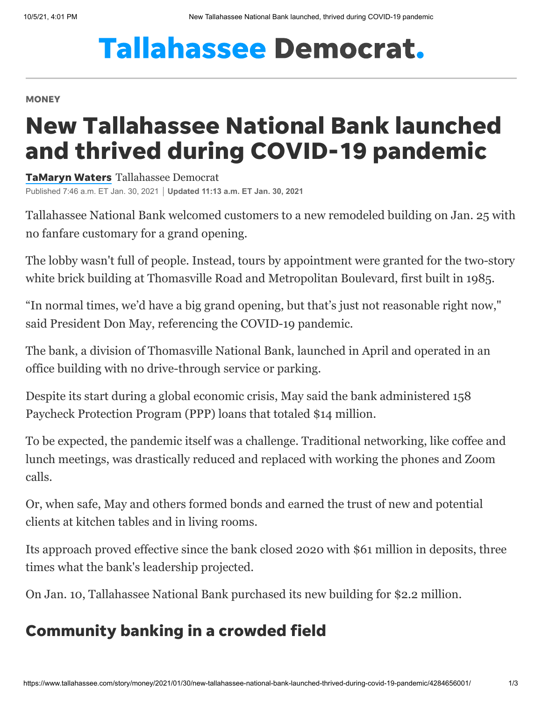## **Tallahassee Democrat.**

## **MONEY**

## New Tallahassee National Bank launched and thrived during COVID-19 pandemic

[TaMaryn](https://www.tallahassee.com/staff/4395308002/tamaryn-waters/) Waters Tallahassee Democrat Published 7:46 a.m. ET Jan. 30, 2021 **Updated 11:13 a.m. ET Jan. 30, 2021**

Tallahassee National Bank welcomed customers to a new remodeled building on Jan. 25 with no fanfare customary for a grand opening.

The lobby wasn't full of people. Instead, tours by appointment were granted for the two-story white brick building at Thomasville Road and Metropolitan Boulevard, first built in 1985.

"In normal times, we'd have a big grand opening, but that's just not reasonable right now," said President Don May, referencing the COVID-19 pandemic.

The bank, a division of Thomasville National Bank, launched in April and operated in an office building with no drive-through service or parking.

Despite its start during a global economic crisis, May said the bank administered 158 Paycheck Protection Program (PPP) loans that totaled \$14 million.

To be expected, the pandemic itself was a challenge. Traditional networking, like coffee and lunch meetings, was drastically reduced and replaced with working the phones and Zoom calls.

Or, when safe, May and others formed bonds and earned the trust of new and potential clients at kitchen tables and in living rooms.

Its approach proved effective since the bank closed 2020 with \$61 million in deposits, three times what the bank's leadership projected.

On Jan. 10, Tallahassee National Bank purchased its new building for \$2.2 million.

## Community banking in a crowded field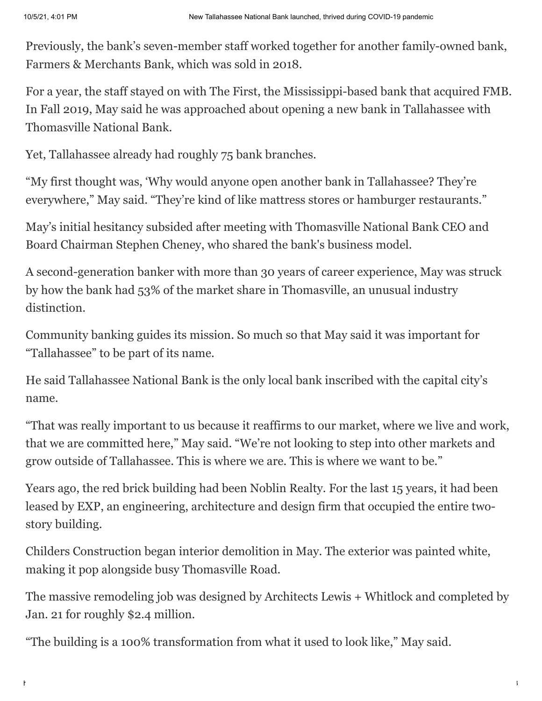Previously, the bank's seven-member staff worked together for another family-owned bank, Farmers & Merchants Bank, which was sold in 2018.

For a year, the staff stayed on with The First, the Mississippi-based bank that acquired FMB. In Fall 2019, May said he was approached about opening a new bank in Tallahassee with Thomasville National Bank.

Yet, Tallahassee already had roughly 75 bank branches.

"My first thought was, 'Why would anyone open another bank in Tallahassee? They're everywhere," May said. "They're kind of like mattress stores or hamburger restaurants."

May's initial hesitancy subsided after meeting with Thomasville National Bank CEO and Board Chairman Stephen Cheney, who shared the bank's business model.

A second-generation banker with more than 30 years of career experience, May was struck by how the bank had 53% of the market share in Thomasville, an unusual industry distinction.

Community banking guides its mission. So much so that May said it was important for "Tallahassee" to be part of its name.

He said Tallahassee National Bank is the only local bank inscribed with the capital city's name.

"That was really important to us because it reaffirms to our market, where we live and work, that we are committed here," May said. "We're not looking to step into other markets and grow outside of Tallahassee. This is where we are. This is where we want to be."

Years ago, the red brick building had been Noblin Realty. For the last 15 years, it had been leased by EXP, an engineering, architecture and design firm that occupied the entire twostory building.

Childers Construction began interior demolition in May. The exterior was painted white, making it pop alongside busy Thomasville Road.

The massive remodeling job was designed by Architects Lewis + Whitlock and completed by Jan. 21 for roughly \$2.4 million.

"The building is a 100% transformation from what it used to look like," May said.